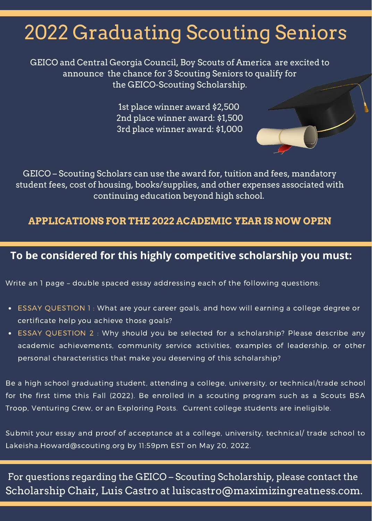## 2022 Graduating Scouting Seniors

GEICO and Central Georgia Council, Boy Scouts of America are excited to announce the chance for 3 Scouting Seniors to qualify for the GEICO-Scouting Scholarship.

> 1st place winner award \$2,500 2nd place winner award: \$1,500 3rd place winner award: \$1,000

GEICO – Scouting Scholars can use the award for, tuition and fees, mandatory student fees, cost of housing, books/supplies, and other expenses associated with continuing education beyond high school.

#### **APPLICATIONS FOR THE 2022 ACADEMIC YEAR IS NOW OPEN**

#### **To be considered for this highly competitive scholarship you must:**

[Write](https://www.commonapp.org/school/georgia-state-university) an 1 page – double spaced essay addressing each of the following questions:

- ESSAY QUESTION 1 : What are your career goals, and how will earning a college degree or certificate help you achieve those goals?
- ESSAY QUESTION 2 : Why should you be selected for a scholarship? Please describe any academic achievements, community service activities, examples of leadership, or other personal characteristics that make you deserving of this scholarship?

Be a high school graduating student, attending a college, university, or technical/trade school for the first time this Fall (2022). Be enrolled in a scouting program such as a Scouts BSA Troop, Venturing Crew, or an Exploring Posts. Current college students are ineligible.

Submit your essay and proof of acceptance at a college, university, technical/ trade school to [Lakeisha.Howard@scouting.org](mailto:Lakeisha.Howard@scouting.org) by 11:59pm EST on May 20, 2022.

For questions regarding the GEICO – Scouting Scholarship, please contact the Scholarship Chair, Luis Castro at luiscastro@maximizingreatness.com.